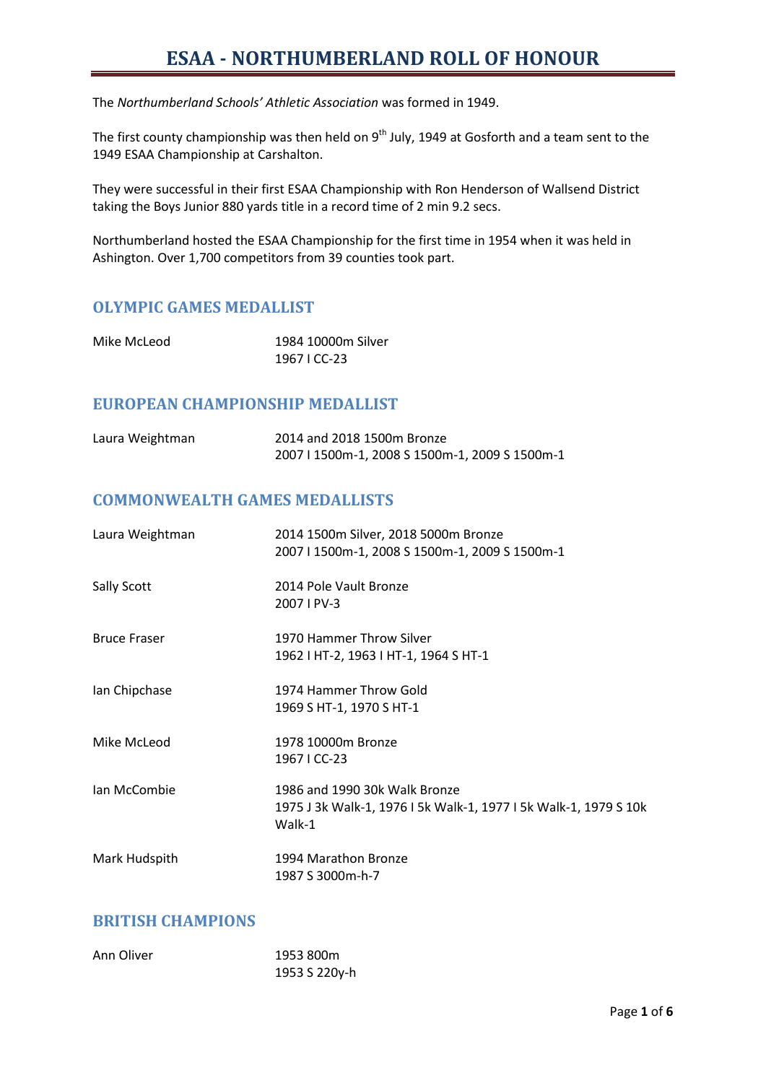The *Northumberland Schools' Athletic Association* was formed in 1949.

The first county championship was then held on 9<sup>th</sup> July, 1949 at Gosforth and a team sent to the 1949 ESAA Championship at Carshalton.

They were successful in their first ESAA Championship with Ron Henderson of Wallsend District taking the Boys Junior 880 yards title in a record time of 2 min 9.2 secs.

Northumberland hosted the ESAA Championship for the first time in 1954 when it was held in Ashington. Over 1,700 competitors from 39 counties took part.

### **OLYMPIC GAMES MEDALLIST**

| Mike McLeod | 1984 10000m Silver |  |  |  |
|-------------|--------------------|--|--|--|
|             | 1967 I CC-23       |  |  |  |

#### **EUROPEAN CHAMPIONSHIP MEDALLIST**

| Laura Weightman | 2014 and 2018 1500m Bronze                     |
|-----------------|------------------------------------------------|
|                 | 2007   1500m-1, 2008 S 1500m-1, 2009 S 1500m-1 |

#### **COMMONWEALTH GAMES MEDALLISTS**

| Laura Weightman     | 2014 1500m Silver, 2018 5000m Bronze<br>2007   1500m-1, 2008 S 1500m-1, 2009 S 1500m-1                      |
|---------------------|-------------------------------------------------------------------------------------------------------------|
| Sally Scott         | 2014 Pole Vault Bronze<br>2007   PV-3                                                                       |
| <b>Bruce Fraser</b> | 1970 Hammer Throw Silver<br>1962   HT-2, 1963   HT-1, 1964 S HT-1                                           |
| Ian Chipchase       | 1974 Hammer Throw Gold<br>1969 S HT-1, 1970 S HT-1                                                          |
| Mike McLeod         | 1978 10000m Bronze<br>1967 I CC-23                                                                          |
| Ian McCombie        | 1986 and 1990 30k Walk Bronze<br>1975 J 3k Walk-1, 1976 I 5k Walk-1, 1977 I 5k Walk-1, 1979 S 10k<br>Walk-1 |
| Mark Hudspith       | 1994 Marathon Bronze<br>1987 S 3000m-h-7                                                                    |

#### **BRITISH CHAMPIONS**

| Ann Oliver | 1953 800m     |
|------------|---------------|
|            | 1953 S 220y-h |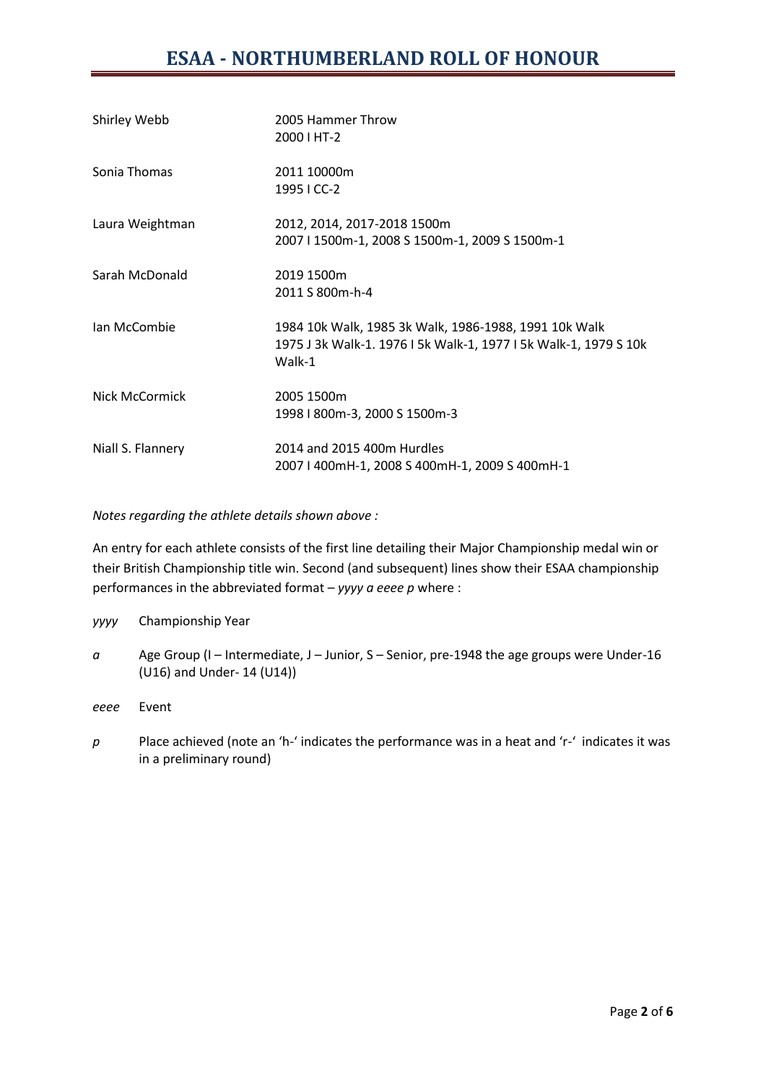| Shirley Webb      | 2005 Hammer Throw<br>2000 I HT-2                                                                                                    |
|-------------------|-------------------------------------------------------------------------------------------------------------------------------------|
| Sonia Thomas      | 2011 10000m<br>1995 I CC-2                                                                                                          |
| Laura Weightman   | 2012, 2014, 2017-2018 1500m<br>2007   1500m-1, 2008 S 1500m-1, 2009 S 1500m-1                                                       |
| Sarah McDonald    | 2019 1500m<br>2011 S 800m-h-4                                                                                                       |
| Ian McCombie      | 1984 10k Walk, 1985 3k Walk, 1986-1988, 1991 10k Walk<br>1975 J 3k Walk-1. 1976 I 5k Walk-1, 1977 I 5k Walk-1, 1979 S 10k<br>Walk-1 |
| Nick McCormick    | 2005 1500m<br>1998   800m-3, 2000 S 1500m-3                                                                                         |
| Niall S. Flannery | 2014 and 2015 400m Hurdles<br>2007   400mH-1, 2008 S 400mH-1, 2009 S 400mH-1                                                        |

*Notes regarding the athlete details shown above :*

An entry for each athlete consists of the first line detailing their Major Championship medal win or their British Championship title win. Second (and subsequent) lines show their ESAA championship performances in the abbreviated format – *yyyy a eeee p* where :

*yyyy* Championship Year *a* Age Group (I – Intermediate, J – Junior, S – Senior, pre-1948 the age groups were Under-16 (U16) and Under- 14 (U14)) *eeee* Event

*p* Place achieved (note an 'h-' indicates the performance was in a heat and 'r-' indicates it was in a preliminary round)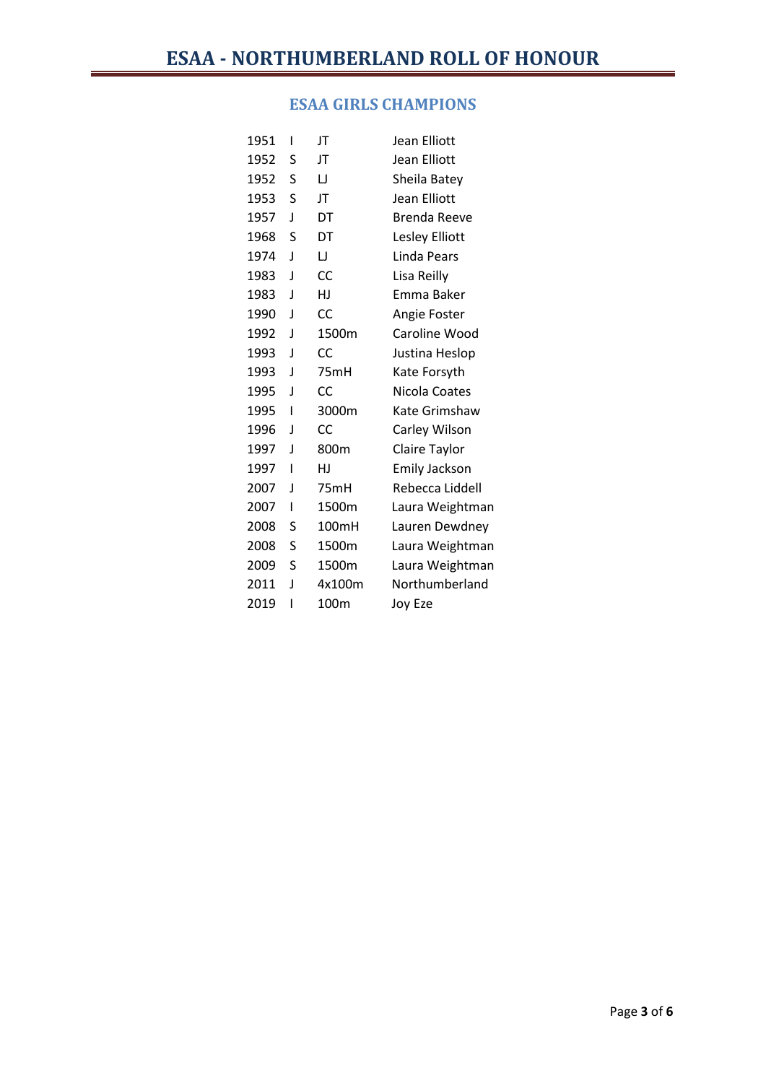### **ESAA GIRLS CHAMPIONS**

| 1951 | ı | JT        | <b>Jean Elliott</b> |
|------|---|-----------|---------------------|
| 1952 | S | JT        | Jean Elliott        |
| 1952 | S | IJ        | Sheila Batey        |
| 1953 | S | JT        | Jean Elliott        |
| 1957 | J | DT        | Brenda Reeve        |
| 1968 | S | DT        | Lesley Elliott      |
| 1974 | J | IJ        | Linda Pears         |
| 1983 | J | CC        | Lisa Reilly         |
| 1983 | J | HJ        | Emma Baker          |
| 1990 | J | CC        | Angie Foster        |
| 1992 | J | 1500m     | Caroline Wood       |
| 1993 | J | CC        | Justina Heslop      |
| 1993 | J | 75mH      | Kate Forsyth        |
| 1995 | J | CC        | Nicola Coates       |
| 1995 | ı | 3000m     | Kate Grimshaw       |
| 1996 | J | <b>CC</b> | Carley Wilson       |
| 1997 | J | 800m      | Claire Taylor       |
| 1997 | I | HJ        | Emily Jackson       |
| 2007 | J | 75mH      | Rebecca Liddell     |
| 2007 | I | 1500m     | Laura Weightman     |
| 2008 | S | 100mH     | Lauren Dewdney      |
| 2008 | S | 1500m     | Laura Weightman     |
| 2009 | S | 1500m     | Laura Weightman     |
| 2011 | J | 4x100m    | Northumberland      |
| 2019 | ı | 100m      | Joy Eze             |
|      |   |           |                     |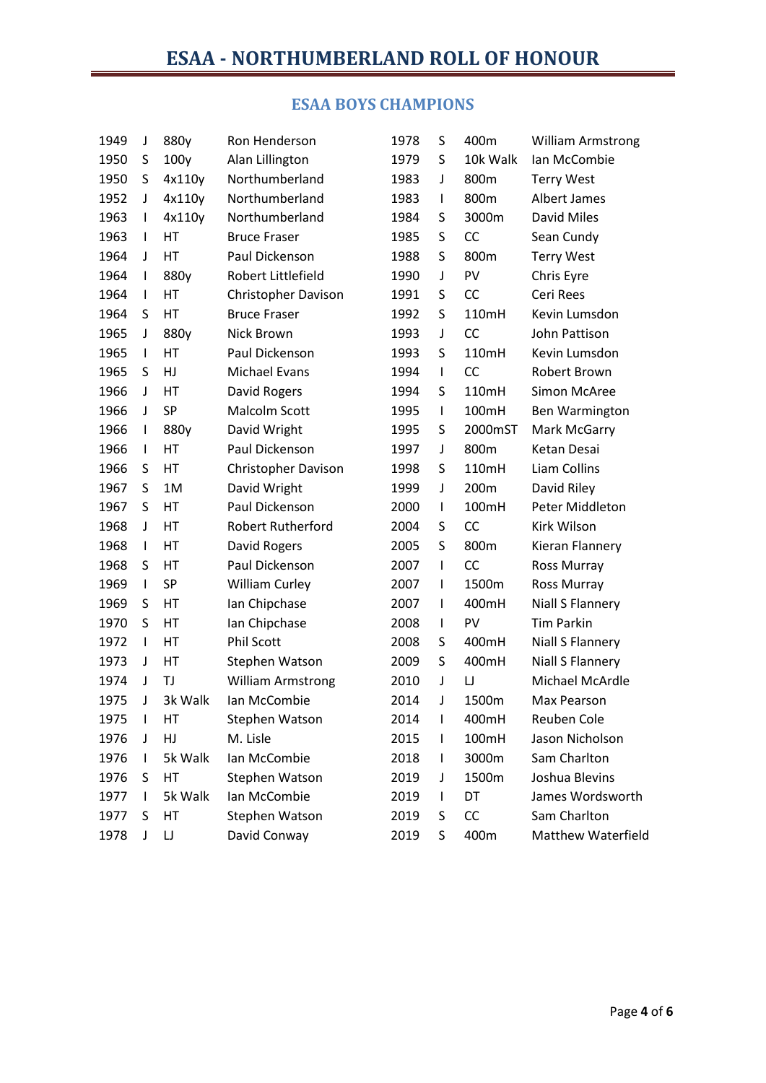## **ESAA BOYS CHAMPIONS**

| 1949 | J            | 880y       | Ron Henderson              | 1978 | S            | 400m      | <b>William Armstrong</b>  |
|------|--------------|------------|----------------------------|------|--------------|-----------|---------------------------|
| 1950 | S            | 100y       | Alan Lillington            | 1979 | S            | 10k Walk  | Ian McCombie              |
| 1950 | S            | 4x110y     | Northumberland             | 1983 | J            | 800m      | <b>Terry West</b>         |
| 1952 | J            | 4x110y     | Northumberland             | 1983 | L            | 800m      | Albert James              |
| 1963 | $\mathbf{I}$ | 4x110y     | Northumberland             | 1984 | S            | 3000m     | David Miles               |
| 1963 | $\mathsf{I}$ | HT         | <b>Bruce Fraser</b>        | 1985 | S            | <b>CC</b> | Sean Cundy                |
| 1964 | J            | HT         | Paul Dickenson             | 1988 | S            | 800m      | <b>Terry West</b>         |
| 1964 | T            | 880y       | Robert Littlefield         | 1990 | J            | PV        | Chris Eyre                |
| 1964 | $\mathsf{I}$ | HT         | <b>Christopher Davison</b> | 1991 | S            | <b>CC</b> | Ceri Rees                 |
| 1964 | S            | HT         | <b>Bruce Fraser</b>        | 1992 | S            | 110mH     | Kevin Lumsdon             |
| 1965 | J            | 880y       | Nick Brown                 | 1993 | J            | <b>CC</b> | John Pattison             |
| 1965 | $\mathsf{I}$ | HT         | Paul Dickenson             | 1993 | S            | 110mH     | Kevin Lumsdon             |
| 1965 | S            | HJ         | Michael Evans              | 1994 | $\mathsf{I}$ | <b>CC</b> | Robert Brown              |
| 1966 | J            | HT         | David Rogers               | 1994 | S            | 110mH     | <b>Simon McAree</b>       |
| 1966 | J            | <b>SP</b>  | Malcolm Scott              | 1995 | L            | 100mH     | <b>Ben Warmington</b>     |
| 1966 | I.           | 880y       | David Wright               | 1995 | S            | 2000mST   | Mark McGarry              |
| 1966 | $\mathsf{I}$ | HT         | Paul Dickenson             | 1997 | J            | 800m      | Ketan Desai               |
| 1966 | S            | HT         | <b>Christopher Davison</b> | 1998 | S            | 110mH     | Liam Collins              |
| 1967 | S            | 1M         | David Wright               | 1999 | J            | 200m      | David Riley               |
| 1967 | S            | HT         | Paul Dickenson             | 2000 | L            | 100mH     | Peter Middleton           |
| 1968 | J            | HT         | <b>Robert Rutherford</b>   | 2004 | S            | <b>CC</b> | Kirk Wilson               |
| 1968 | $\mathsf{I}$ | HT         | David Rogers               | 2005 | S            | 800m      | Kieran Flannery           |
| 1968 | S            | HT         | Paul Dickenson             | 2007 | I            | <b>CC</b> | Ross Murray               |
| 1969 | $\mathsf{I}$ | <b>SP</b>  | <b>William Curley</b>      | 2007 | I            | 1500m     | Ross Murray               |
| 1969 | S            | HT         | Ian Chipchase              | 2007 | I            | 400mH     | Niall S Flannery          |
| 1970 | S            | HT         | Ian Chipchase              | 2008 | I            | PV        | <b>Tim Parkin</b>         |
| 1972 | $\mathbf{I}$ | HT         | <b>Phil Scott</b>          | 2008 | S            | 400mH     | Niall S Flannery          |
| 1973 | J            | HT         | Stephen Watson             | 2009 | S            | 400mH     | <b>Niall S Flannery</b>   |
| 1974 | J            | TJ         | <b>William Armstrong</b>   | 2010 | J            | IJ        | Michael McArdle           |
| 1975 | J            | 3k Walk    | Ian McCombie               | 2014 | J            | 1500m     | Max Pearson               |
| 1975 | T            | НT         | Stephen Watson             | 2014 | I            | 400mH     | Reuben Cole               |
| 1976 | J            | ${\sf HJ}$ | M. Lisle                   | 2015 | T            | 100mH     | Jason Nicholson           |
| 1976 | I            | 5k Walk    | Ian McCombie               | 2018 | T            | 3000m     | Sam Charlton              |
| 1976 | S            | HT         | Stephen Watson             | 2019 | J            | 1500m     | Joshua Blevins            |
| 1977 | L            | 5k Walk    | Ian McCombie               | 2019 | T            | DT        | James Wordsworth          |
| 1977 | S            | HT         | Stephen Watson             | 2019 | S            | CC        | Sam Charlton              |
| 1978 | J            | IJ         | David Conway               | 2019 | S            | 400m      | <b>Matthew Waterfield</b> |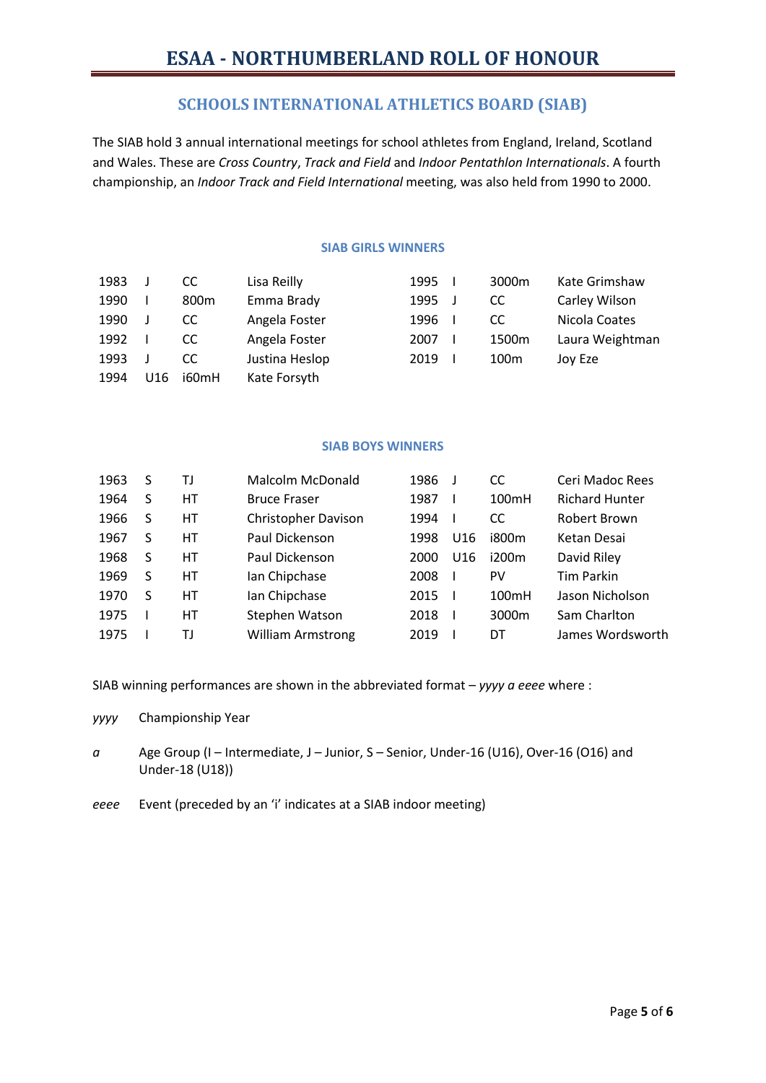### **SCHOOLS INTERNATIONAL ATHLETICS BOARD (SIAB)**

The SIAB hold 3 annual international meetings for school athletes from England, Ireland, Scotland and Wales. These are *Cross Country*, *Track and Field* and *Indoor Pentathlon Internationals*. A fourth championship, an *Indoor Track and Field International* meeting, was also held from 1990 to 2000.

#### **SIAB GIRLS WINNERS**

| 1983 |     | CC               | Lisa Reilly    | 1995 | 3000m            | Kate Grimshaw   |
|------|-----|------------------|----------------|------|------------------|-----------------|
| 1990 |     | 800 <sub>m</sub> | Emma Brady     | 1995 | CC.              | Carley Wilson   |
| 1990 |     | CC.              | Angela Foster  | 1996 | CC.              | Nicola Coates   |
| 1992 |     | CC               | Angela Foster  | 2007 | 1500m            | Laura Weightman |
| 1993 |     | CC               | Justina Heslop | 2019 | 100 <sub>m</sub> | Joy Eze         |
| 1994 | U16 | i60mH            | Kate Forsyth   |      |                  |                 |

#### **SIAB BOYS WINNERS**

| 1963 | S | TJ | Malcolm McDonald         | 1986 |     | CC    | Ceri Madoc Rees       |
|------|---|----|--------------------------|------|-----|-------|-----------------------|
| 1964 | S | НT | <b>Bruce Fraser</b>      | 1987 |     | 100mH | <b>Richard Hunter</b> |
| 1966 | S | НT | Christopher Davison      | 1994 |     | CC.   | Robert Brown          |
| 1967 | S | НT | Paul Dickenson           | 1998 | U16 | i800m | Ketan Desai           |
| 1968 | S | НT | Paul Dickenson           | 2000 | U16 | i200m | David Riley           |
| 1969 | S | НT | Ian Chipchase            | 2008 |     | PV    | <b>Tim Parkin</b>     |
| 1970 | S | HТ | Ian Chipchase            | 2015 |     | 100mH | Jason Nicholson       |
| 1975 |   | HТ | Stephen Watson           | 2018 |     | 3000m | Sam Charlton          |
| 1975 |   | TJ | <b>William Armstrong</b> | 2019 |     | DT    | James Wordsworth      |
|      |   |    |                          |      |     |       |                       |

SIAB winning performances are shown in the abbreviated format – *yyyy a eeee* where :

*yyyy* Championship Year

- *a* Age Group (I Intermediate, J Junior, S Senior, Under-16 (U16), Over-16 (O16) and Under-18 (U18))
- *eeee* Event (preceded by an 'i' indicates at a SIAB indoor meeting)